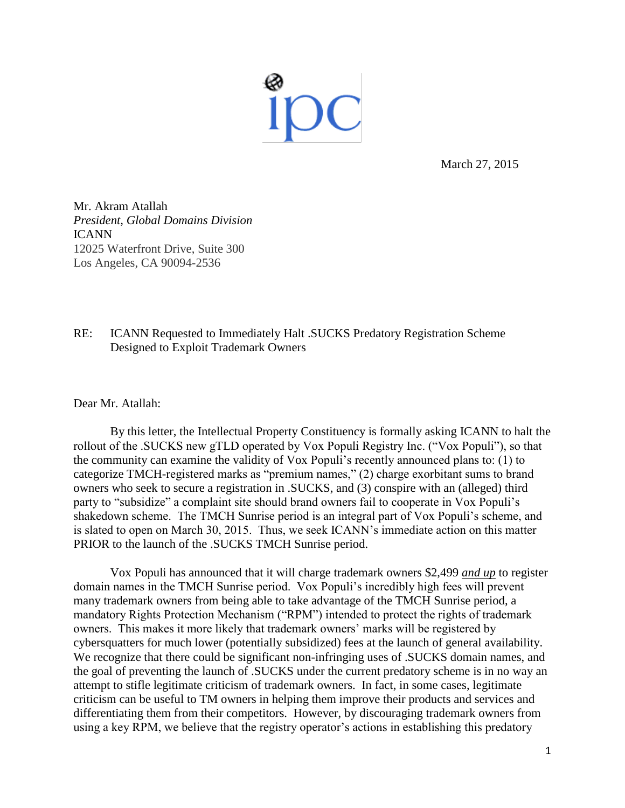

March 27, 2015

Mr. Akram Atallah *President, Global Domains Division* ICANN 12025 Waterfront Drive, Suite 300 Los Angeles, CA 90094-2536

## RE: ICANN Requested to Immediately Halt .SUCKS Predatory Registration Scheme Designed to Exploit Trademark Owners

Dear Mr. Atallah:

By this letter, the Intellectual Property Constituency is formally asking ICANN to halt the rollout of the .SUCKS new gTLD operated by Vox Populi Registry Inc. ("Vox Populi"), so that the community can examine the validity of Vox Populi's recently announced plans to: (1) to categorize TMCH-registered marks as "premium names," (2) charge exorbitant sums to brand owners who seek to secure a registration in .SUCKS, and (3) conspire with an (alleged) third party to "subsidize" a complaint site should brand owners fail to cooperate in Vox Populi's shakedown scheme. The TMCH Sunrise period is an integral part of Vox Populi's scheme, and is slated to open on March 30, 2015. Thus, we seek ICANN's immediate action on this matter PRIOR to the launch of the .SUCKS TMCH Sunrise period.

Vox Populi has announced that it will charge trademark owners \$2,499 *and up* to register domain names in the TMCH Sunrise period. Vox Populi's incredibly high fees will prevent many trademark owners from being able to take advantage of the TMCH Sunrise period, a mandatory Rights Protection Mechanism ("RPM") intended to protect the rights of trademark owners. This makes it more likely that trademark owners' marks will be registered by cybersquatters for much lower (potentially subsidized) fees at the launch of general availability. We recognize that there could be significant non-infringing uses of .SUCKS domain names, and the goal of preventing the launch of .SUCKS under the current predatory scheme is in no way an attempt to stifle legitimate criticism of trademark owners. In fact, in some cases, legitimate criticism can be useful to TM owners in helping them improve their products and services and differentiating them from their competitors. However, by discouraging trademark owners from using a key RPM, we believe that the registry operator's actions in establishing this predatory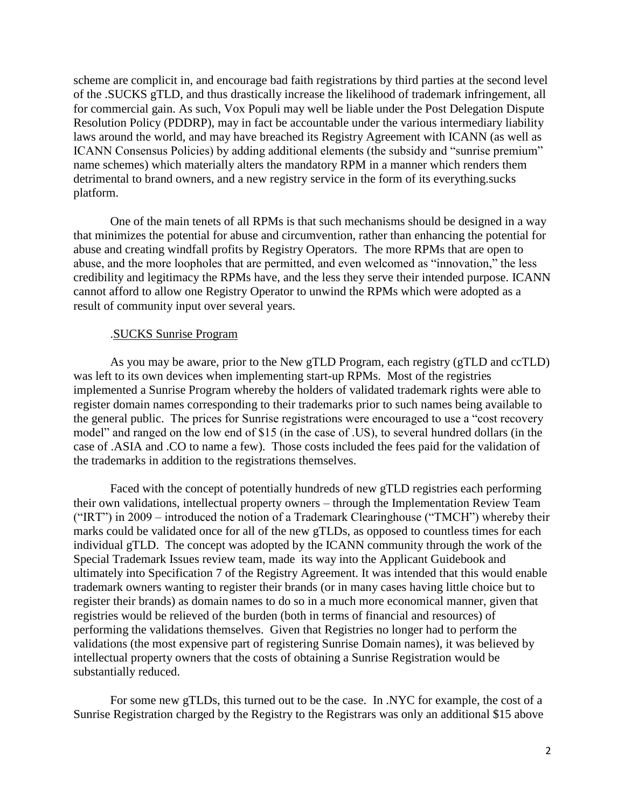scheme are complicit in, and encourage bad faith registrations by third parties at the second level of the .SUCKS gTLD, and thus drastically increase the likelihood of trademark infringement, all for commercial gain. As such, Vox Populi may well be liable under the Post Delegation Dispute Resolution Policy (PDDRP), may in fact be accountable under the various intermediary liability laws around the world, and may have breached its Registry Agreement with ICANN (as well as ICANN Consensus Policies) by adding additional elements (the subsidy and "sunrise premium" name schemes) which materially alters the mandatory RPM in a manner which renders them detrimental to brand owners, and a new registry service in the form of its everything.sucks platform.

One of the main tenets of all RPMs is that such mechanisms should be designed in a way that minimizes the potential for abuse and circumvention, rather than enhancing the potential for abuse and creating windfall profits by Registry Operators. The more RPMs that are open to abuse, and the more loopholes that are permitted, and even welcomed as "innovation," the less credibility and legitimacy the RPMs have, and the less they serve their intended purpose. ICANN cannot afford to allow one Registry Operator to unwind the RPMs which were adopted as a result of community input over several years.

## .SUCKS Sunrise Program

As you may be aware, prior to the New gTLD Program, each registry (gTLD and ccTLD) was left to its own devices when implementing start-up RPMs. Most of the registries implemented a Sunrise Program whereby the holders of validated trademark rights were able to register domain names corresponding to their trademarks prior to such names being available to the general public. The prices for Sunrise registrations were encouraged to use a "cost recovery model" and ranged on the low end of \$15 (in the case of .US), to several hundred dollars (in the case of .ASIA and .CO to name a few). Those costs included the fees paid for the validation of the trademarks in addition to the registrations themselves.

Faced with the concept of potentially hundreds of new gTLD registries each performing their own validations, intellectual property owners – through the Implementation Review Team ("IRT") in 2009 – introduced the notion of a Trademark Clearinghouse ("TMCH") whereby their marks could be validated once for all of the new gTLDs, as opposed to countless times for each individual gTLD. The concept was adopted by the ICANN community through the work of the Special Trademark Issues review team, made its way into the Applicant Guidebook and ultimately into Specification 7 of the Registry Agreement. It was intended that this would enable trademark owners wanting to register their brands (or in many cases having little choice but to register their brands) as domain names to do so in a much more economical manner, given that registries would be relieved of the burden (both in terms of financial and resources) of performing the validations themselves. Given that Registries no longer had to perform the validations (the most expensive part of registering Sunrise Domain names), it was believed by intellectual property owners that the costs of obtaining a Sunrise Registration would be substantially reduced.

For some new gTLDs, this turned out to be the case. In .NYC for example, the cost of a Sunrise Registration charged by the Registry to the Registrars was only an additional \$15 above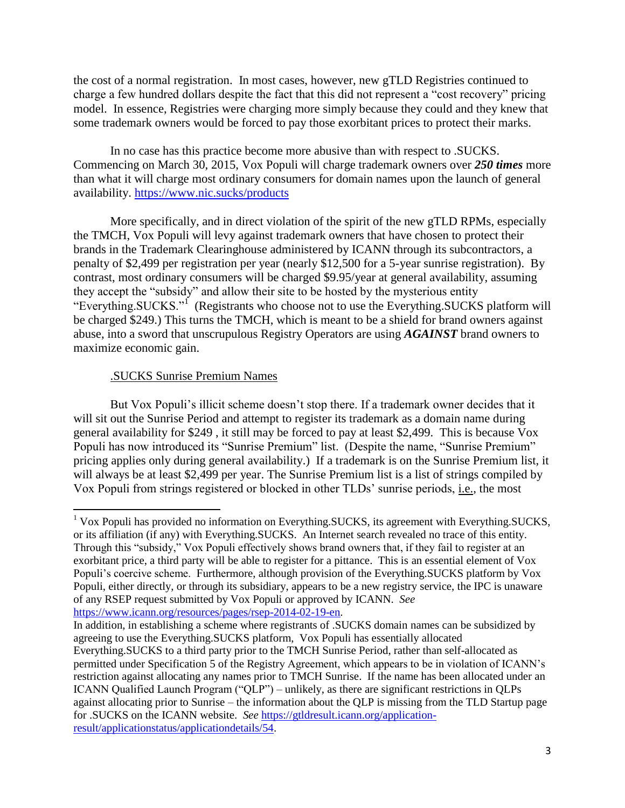the cost of a normal registration. In most cases, however, new gTLD Registries continued to charge a few hundred dollars despite the fact that this did not represent a "cost recovery" pricing model. In essence, Registries were charging more simply because they could and they knew that some trademark owners would be forced to pay those exorbitant prices to protect their marks.

In no case has this practice become more abusive than with respect to .SUCKS. Commencing on March 30, 2015, Vox Populi will charge trademark owners over *250 times* more than what it will charge most ordinary consumers for domain names upon the launch of general availability. https://www.nic.sucks/products

More specifically, and in direct violation of the spirit of the new gTLD RPMs, especially the TMCH, Vox Populi will levy against trademark owners that have chosen to protect their brands in the Trademark Clearinghouse administered by ICANN through its subcontractors, a penalty of \$2,499 per registration per year (nearly \$12,500 for a 5-year sunrise registration). By contrast, most ordinary consumers will be charged \$9.95/year at general availability, assuming they accept the "subsidy" and allow their site to be hosted by the mysterious entity "Everything.SUCKS."<sup>I</sup> (Registrants who choose not to use the Everything.SUCKS platform will be charged \$249.) This turns the TMCH, which is meant to be a shield for brand owners against abuse, into a sword that unscrupulous Registry Operators are using *AGAINST* brand owners to maximize economic gain.

## .SUCKS Sunrise Premium Names

But Vox Populi's illicit scheme doesn't stop there. If a trademark owner decides that it will sit out the Sunrise Period and attempt to register its trademark as a domain name during general availability for \$249 , it still may be forced to pay at least \$2,499. This is because Vox Populi has now introduced its "Sunrise Premium" list. (Despite the name, "Sunrise Premium" pricing applies only during general availability.) If a trademark is on the Sunrise Premium list, it will always be at least \$2,499 per year. The Sunrise Premium list is a list of strings compiled by Vox Populi from strings registered or blocked in other TLDs' sunrise periods, i.e., the most

[https://www.icann.org/resources/pages/rsep-2014-02-19-en.](https://www.icann.org/resources/pages/rsep-2014-02-19-en)

In addition, in establishing a scheme where registrants of .SUCKS domain names can be subsidized by agreeing to use the Everything.SUCKS platform, Vox Populi has essentially allocated Everything.SUCKS to a third party prior to the TMCH Sunrise Period, rather than self-allocated as permitted under Specification 5 of the Registry Agreement, which appears to be in violation of ICANN's restriction against allocating any names prior to TMCH Sunrise. If the name has been allocated under an ICANN Qualified Launch Program ("QLP") – unlikely, as there are significant restrictions in QLPs against allocating prior to Sunrise – the information about the QLP is missing from the TLD Startup page for .SUCKS on the ICANN website. *See* [https://gtldresult.icann.org/application](https://gtldresult.icann.org/application-result/applicationstatus/applicationdetails/54)[result/applicationstatus/applicationdetails/54.](https://gtldresult.icann.org/application-result/applicationstatus/applicationdetails/54)

 $\overline{\phantom{a}}$ <sup>1</sup> Vox Populi has provided no information on Everything.SUCKS, its agreement with Everything.SUCKS, or its affiliation (if any) with Everything.SUCKS. An Internet search revealed no trace of this entity. Through this "subsidy," Vox Populi effectively shows brand owners that, if they fail to register at an exorbitant price, a third party will be able to register for a pittance. This is an essential element of Vox Populi's coercive scheme. Furthermore, although provision of the Everything.SUCKS platform by Vox Populi, either directly, or through its subsidiary, appears to be a new registry service, the IPC is unaware of any RSEP request submitted by Vox Populi or approved by ICANN. *See*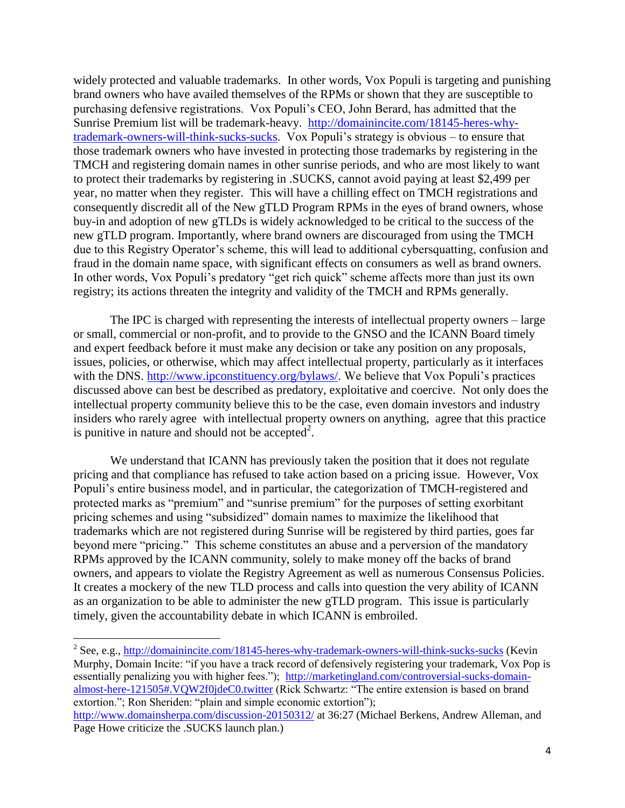widely protected and valuable trademarks. In other words, Vox Populi is targeting and punishing brand owners who have availed themselves of the RPMs or shown that they are susceptible to purchasing defensive registrations. Vox Populi's CEO, John Berard, has admitted that the Sunrise Premium list will be trademark-heavy. http://domainincite.com/18145-heres-whytrademark-owners-will-think-sucks-sucks. Vox Populi's strategy is obvious – to ensure that those trademark owners who have invested in protecting those trademarks by registering in the TMCH and registering domain names in other sunrise periods, and who are most likely to want to protect their trademarks by registering in .SUCKS, cannot avoid paying at least \$2,499 per year, no matter when they register. This will have a chilling effect on TMCH registrations and consequently discredit all of the New gTLD Program RPMs in the eyes of brand owners, whose buy-in and adoption of new gTLDs is widely acknowledged to be critical to the success of the new gTLD program. Importantly, where brand owners are discouraged from using the TMCH due to this Registry Operator's scheme, this will lead to additional cybersquatting, confusion and fraud in the domain name space, with significant effects on consumers as well as brand owners. In other words, Vox Populi's predatory "get rich quick" scheme affects more than just its own registry; its actions threaten the integrity and validity of the TMCH and RPMs generally.

The IPC is charged with representing the interests of intellectual property owners – large or small, commercial or non-profit, and to provide to the GNSO and the ICANN Board timely and expert feedback before it must make any decision or take any position on any proposals, issues, policies, or otherwise, which may affect intellectual property, particularly as it interfaces with the DNS. [http://www.ipconstituency.org/bylaws/.](http://www.ipconstituency.org/bylaws/) We believe that Vox Populi's practices discussed above can best be described as predatory, exploitative and coercive. Not only does the intellectual property community believe this to be the case, even domain investors and industry insiders who rarely agree with intellectual property owners on anything, agree that this practice is punitive in nature and should not be accepted<sup>2</sup>.

We understand that ICANN has previously taken the position that it does not regulate pricing and that compliance has refused to take action based on a pricing issue. However, Vox Populi's entire business model, and in particular, the categorization of TMCH-registered and protected marks as "premium" and "sunrise premium" for the purposes of setting exorbitant pricing schemes and using "subsidized" domain names to maximize the likelihood that trademarks which are not registered during Sunrise will be registered by third parties, goes far beyond mere "pricing." This scheme constitutes an abuse and a perversion of the mandatory RPMs approved by the ICANN community, solely to make money off the backs of brand owners, and appears to violate the Registry Agreement as well as numerous Consensus Policies. It creates a mockery of the new TLD process and calls into question the very ability of ICANN as an organization to be able to administer the new gTLD program. This issue is particularly timely, given the accountability debate in which ICANN is embroiled.

 $\overline{a}$ 

<sup>&</sup>lt;sup>2</sup> See, e.g., http://domainincite.com/18145-heres-why-trademark-owners-will-think-sucks-sucks (Kevin Murphy, Domain Incite: "if you have a track record of defensively registering your trademark, Vox Pop is essentially penalizing you with higher fees."); [http://marketingland.com/controversial-sucks-domain](http://marketingland.com/controversial-sucks-domain-almost-here-121505#.VQW2f0jdeC0.twitter)[almost-here-121505#.VQW2f0jdeC0.twitter](http://marketingland.com/controversial-sucks-domain-almost-here-121505#.VQW2f0jdeC0.twitter) (Rick Schwartz: "The entire extension is based on brand extortion."; Ron Sheriden: "plain and simple economic extortion"); <http://www.domainsherpa.com/discussion-20150312/> at 36:27 (Michael Berkens, Andrew Alleman, and Page Howe criticize the .SUCKS launch plan.)